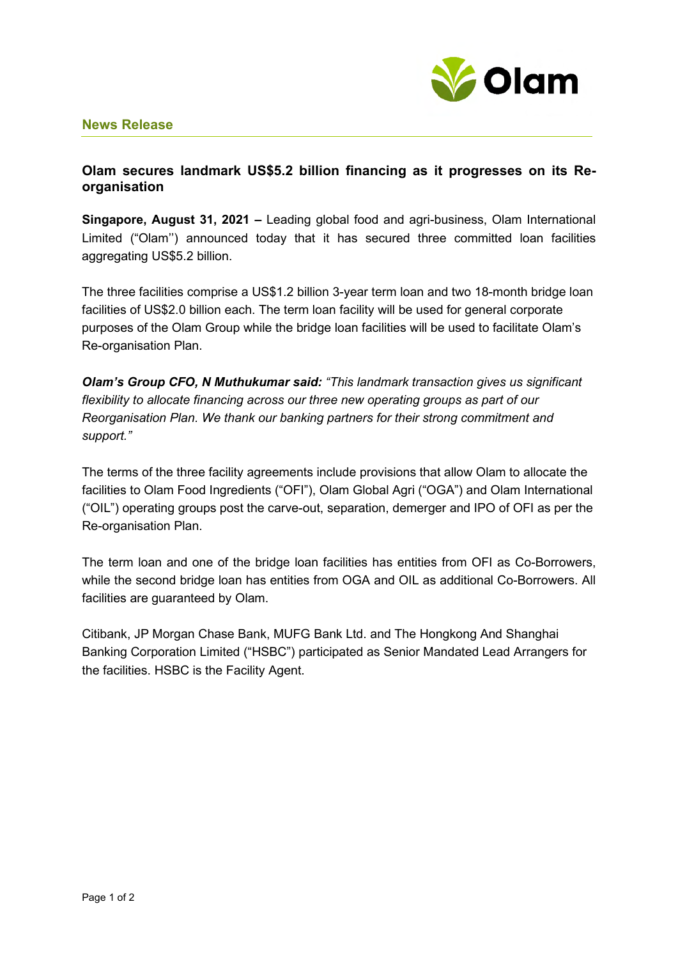

## **News Release**

## **Olam secures landmark US\$5.2 billion financing as it progresses on its Reorganisation**

**Singapore, August 31, 2021 –** Leading global food and agri-business, Olam International Limited ("Olam'') announced today that it has secured three committed loan facilities aggregating US\$5.2 billion.

The three facilities comprise a US\$1.2 billion 3-year term loan and two 18-month bridge loan facilities of US\$2.0 billion each. The term loan facility will be used for general corporate purposes of the Olam Group while the bridge loan facilities will be used to facilitate Olam's Re-organisation Plan.

*Olam's Group CFO, N Muthukumar said: "This landmark transaction gives us significant flexibility to allocate financing across our three new operating groups as part of our Reorganisation Plan. We thank our banking partners for their strong commitment and support."* 

The terms of the three facility agreements include provisions that allow Olam to allocate the facilities to Olam Food Ingredients ("OFI"), Olam Global Agri ("OGA") and Olam International ("OIL") operating groups post the carve-out, separation, demerger and IPO of OFI as per the Re-organisation Plan.

The term loan and one of the bridge loan facilities has entities from OFI as Co-Borrowers, while the second bridge loan has entities from OGA and OIL as additional Co-Borrowers. All facilities are guaranteed by Olam.

Citibank, JP Morgan Chase Bank, MUFG Bank Ltd. and The Hongkong And Shanghai Banking Corporation Limited ("HSBC") participated as Senior Mandated Lead Arrangers for the facilities. HSBC is the Facility Agent.